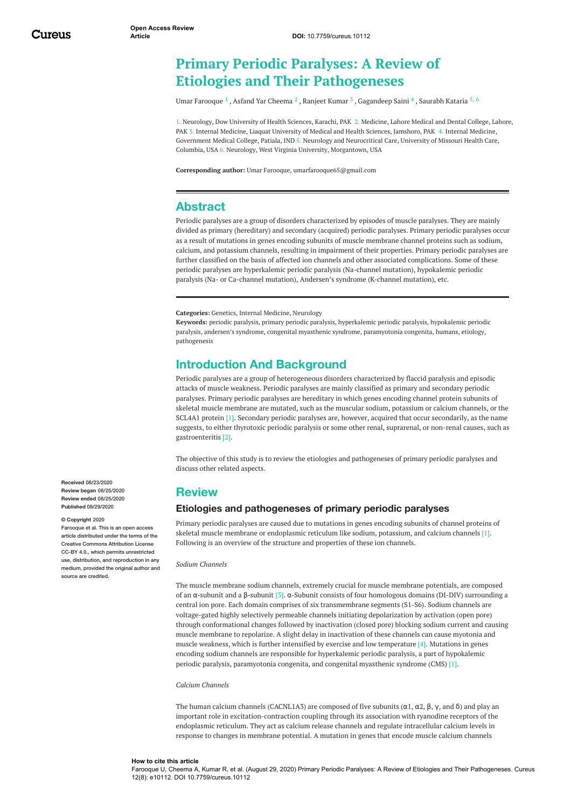# **Primary Periodic Paralyses: A Review of Etiologies and Their Pathogeneses**

Umar [Farooque](https://www.cureus.com/users/129126-umar-farooque)  $^1$  , Asfand Yar [Cheema](https://www.cureus.com/users/156945-asfand-yar-cheema)  $^2$  , [Ranjeet](https://www.cureus.com/users/182802-ranjeet-kumar) Kumar  $^3$  , [Gagandeep](https://www.cureus.com/users/182803-gagandeep-saini) Saini  $^4$  , [Saurabh](https://www.cureus.com/users/118912-saurabh-kataria) Kataria  $^5\!$   $^6$ 

1. Neurology, Dow University of Health Sciences, Karachi, PAK 2. Medicine, Lahore Medical and Dental College, Lahore, PAK 3. Internal Medicine, Liaquat University of Medical and Health Sciences, Jamshoro, PAK 4. Internal Medicine, Government Medical College, Patiala, IND 5. Neurology and Neurocritical Care, University of Missouri Health Care, Columbia, USA 6. Neurology, West Virginia University, Morgantown, USA

**Corresponding author:** Umar Farooque, umarfarooque65@gmail.com

# **Abstract**

Periodic paralyses are a group of disorders characterized by episodes of muscle paralyses. They are mainly divided as primary (hereditary) and secondary (acquired) periodic paralyses. Primary periodic paralyses occur as a result of mutations in genes encoding subunits of muscle membrane channel proteins such as sodium, calcium, and potassium channels, resulting in impairment of their properties. Primary periodic paralyses are further classified on the basis of affected ion channels and other associated complications. Some of these periodic paralyses are hyperkalemic periodic paralysis (Na-channel mutation), hypokalemic periodic paralysis (Na- or Ca-channel mutation), Andersen's syndrome (K-channel mutation), etc.

**Categories:** Genetics, Internal Medicine, Neurology

**Keywords:** periodic paralysis, primary periodic paralysis, hyperkalemic periodic paralysis, hypokalemic periodic paralysis, andersen's syndrome, congenital myasthenic syndrome, paramyotonia congenita, humans, etiology, pathogenesis

# **Introduction And Background**

Periodic paralyses are a group of heterogeneous disorders characterized by flaccid paralysis and episodic attacks of muscle weakness. Periodic paralyses are mainly classified as primary and secondary periodic paralyses. Primary periodic paralyses are hereditary in which genes encoding channel protein subunits of skeletal muscle membrane are mutated, such as the muscular sodium, potassium or calcium channels, or the SCL4A1 protein [1]. Secondary periodic paralyses are, however, acquired that occur secondarily, as the name suggests, to either thyrotoxic periodic paralysis or some other renal, suprarenal, or non-renal causes, such as gastroenteritis [2].

The objective of this study is to review the etiologies and pathogeneses of primary periodic paralyses and discuss other related aspects.

# **Review**

## **Etiologies and pathogeneses of primary periodic paralyses**

Primary periodic paralyses are caused due to mutations in genes encoding subunits of channel proteins of skeletal muscle membrane or endoplasmic reticulum like sodium, potassium, and calcium channels [1]. Following is an overview of the structure and properties of these ion channels.

*Sodium Channels*

The muscle membrane sodium channels, extremely crucial for muscle membrane potentials, are composed of an α‐subunit and a β‐subunit [3]. α‐Subunit consists of four homologous domains (DI-DIV) surrounding a central ion pore. Each domain comprises of six transmembrane segments (S1-S6). Sodium channels are voltage-gated highly selectively permeable channels initiating depolarization by activation (open pore) through conformational changes followed by inactivation (closed pore) blocking sodium current and causing muscle membrane to repolarize. A slight delay in inactivation of these channels can cause myotonia and muscle weakness, which is further intensified by exercise and low temperature [4]. Mutations in genes encoding sodium channels are responsible for hyperkalemic periodic paralysis, a part of hypokalemic periodic paralysis, paramyotonia congenita, and congenital myasthenic syndrome (CMS) [1].

#### *Calcium Channels*

The human calcium channels (CACNL1A3) are composed of five subunits ( $\alpha$ 1,  $\alpha$ 2, β, γ, and δ) and play an important role in excitation-contraction coupling through its association with ryanodine receptors of the endoplasmic reticulum. They act as calcium release channels and regulate intracellular calcium levels in response to changes in membrane potential. A mutation in genes that encode muscle calcium channels

**Received** 08/23/2020 **Review began** 08/25/2020 **Review ended** 08/25/2020 **Published** 08/29/2020

#### **© Copyright** 2020

Farooque et al. This is an open access article distributed under the terms of the Creative Commons Attribution License CC-BY 4.0., which permits unrestricted use, distribution, and reproduction in any medium, provided the original author and source are credited

#### **How to cite this article**

Farooque U, Cheema A, Kumar R, et al. (August 29, 2020) Primary Periodic Paralyses: A Review of Etiologies and Their Pathogeneses. Cureus 12(8): e10112. DOI 10.7759/cureus.10112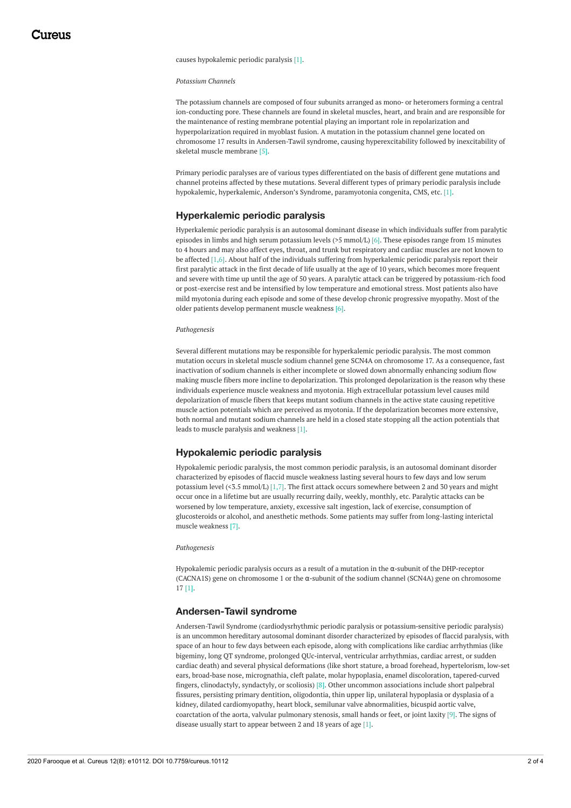causes hypokalemic periodic paralysis [1].

*Potassium Channels*

The potassium channels are composed of four subunits arranged as mono‐ or heteromers forming a central ion-conducting pore. These channels are found in skeletal muscles, heart, and brain and are responsible for the maintenance of resting membrane potential playing an important role in repolarization and hyperpolarization required in myoblast fusion. A mutation in the potassium channel gene located on chromosome 17 results in Andersen-Tawil syndrome, causing hyperexcitability followed by inexcitability of skeletal muscle membrane [5].

Primary periodic paralyses are of various types differentiated on the basis of different gene mutations and channel proteins affected by these mutations. Several different types of primary periodic paralysis include hypokalemic, hyperkalemic, Anderson's Syndrome, paramyotonia congenita, CMS, etc. [1].

### **Hyperkalemic periodic paralysis**

Hyperkalemic periodic paralysis is an autosomal dominant disease in which individuals suffer from paralytic episodes in limbs and high serum potassium levels (>5 mmol/L) [6]. These episodes range from 15 minutes to 4 hours and may also affect eyes, throat, and trunk but respiratory and cardiac muscles are not known to be affected [1,6]. About half of the individuals suffering from hyperkalemic periodic paralysis report their first paralytic attack in the first decade of life usually at the age of 10 years, which becomes more frequent and severe with time up until the age of 50 years. A paralytic attack can be triggered by potassium-rich food or post-exercise rest and be intensified by low temperature and emotional stress. Most patients also have mild myotonia during each episode and some of these develop chronic progressive myopathy. Most of the older patients develop permanent muscle weakness [6].

#### *Pathogenesis*

Several different mutations may be responsible for hyperkalemic periodic paralysis. The most common mutation occurs in skeletal muscle sodium channel gene SCN4A on chromosome 17. As a consequence, fast inactivation of sodium channels is either incomplete or slowed down abnormally enhancing sodium flow making muscle fibers more incline to depolarization. This prolonged depolarization is the reason why these individuals experience muscle weakness and myotonia. High extracellular potassium level causes mild depolarization of muscle fibers that keeps mutant sodium channels in the active state causing repetitive muscle action potentials which are perceived as myotonia. If the depolarization becomes more extensive, both normal and mutant sodium channels are held in a closed state stopping all the action potentials that leads to muscle paralysis and weakness [1].

### **Hypokalemic periodic paralysis**

Hypokalemic periodic paralysis, the most common periodic paralysis, is an autosomal dominant disorder characterized by episodes of flaccid muscle weakness lasting several hours to few days and low serum potassium level  $(5.5 \text{ mmol/L})$  [1,7]. The first attack occurs somewhere between 2 and 30 years and might occur once in a lifetime but are usually recurring daily, weekly, monthly, etc. Paralytic attacks can be worsened by low temperature, anxiety, excessive salt ingestion, lack of exercise, consumption of glucosteroids or alcohol, and anesthetic methods. Some patients may suffer from long-lasting interictal muscle weakness [7].

*Pathogenesis*

Hypokalemic periodic paralysis occurs as a result of a mutation in the  $\alpha$ -subunit of the DHP-receptor (CACNA1S) gene on chromosome 1 or the α‐subunit of the sodium channel (SCN4A) gene on chromosome 17 [1].

### **Andersen-Tawil syndrome**

Andersen-Tawil Syndrome (cardiodysrhythmic periodic paralysis or potassium‐sensitive periodic paralysis) is an uncommon hereditary autosomal dominant disorder characterized by episodes of flaccid paralysis, with space of an hour to few days between each episode, along with complications like cardiac arrhythmias (like bigeminy, long QT syndrome, prolonged QUc‐interval, ventricular arrhythmias, cardiac arrest, or sudden cardiac death) and several physical deformations (like short stature, a broad forehead, hypertelorism, low‐set ears, broad‐base nose, micrognathia, cleft palate, molar hypoplasia, enamel discoloration, tapered‐curved fingers, clinodactyly, syndactyly, or scoliosis) [8]. Other uncommon associations include short palpebral fissures, persisting primary dentition, oligodontia, thin upper lip, unilateral hypoplasia or dysplasia of a kidney, dilated cardiomyopathy, heart block, semilunar valve abnormalities, bicuspid aortic valve, coarctation of the aorta, valvular pulmonary stenosis, small hands or feet, or joint laxity [9]. The signs of disease usually start to appear between 2 and 18 years of age [1].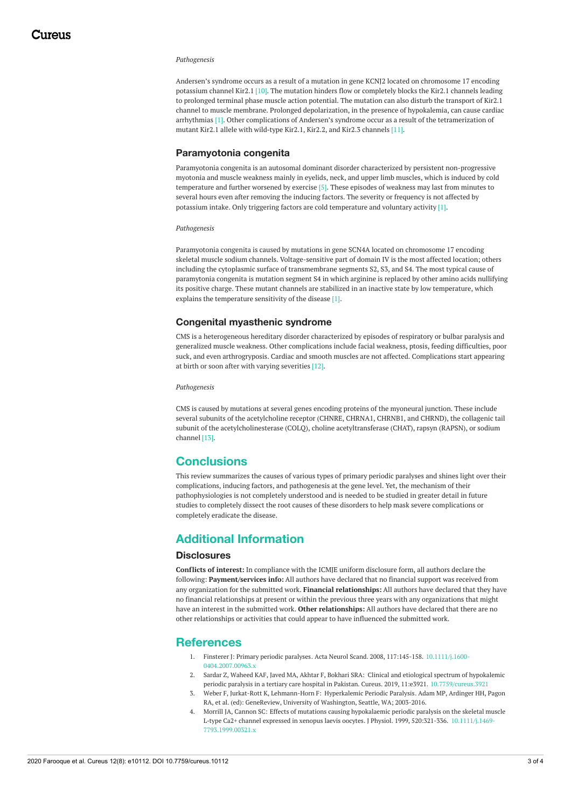#### *Pathogenesis*

Andersen's syndrome occurs as a result of a mutation in gene KCNJ2 located on chromosome 17 encoding potassium channel Kir2.1 [10]. The mutation hinders flow or completely blocks the Kir2.1 channels leading to prolonged terminal phase muscle action potential. The mutation can also disturb the transport of Kir2.1 channel to muscle membrane. Prolonged depolarization, in the presence of hypokalemia, can cause cardiac arrhythmias [1]. Other complications of Andersen's syndrome occur as a result of the tetramerization of mutant Kir2.1 allele with wild‐type Kir2.1, Kir2.2, and Kir2.3 channels [11].

### **Paramyotonia congenita**

Paramyotonia congenita is an autosomal dominant disorder characterized by persistent non-progressive myotonia and muscle weakness mainly in eyelids, neck, and upper limb muscles, which is induced by cold temperature and further worsened by exercise [5]. These episodes of weakness may last from minutes to several hours even after removing the inducing factors. The severity or frequency is not affected by potassium intake. Only triggering factors are cold temperature and voluntary activity [1].

#### *Pathogenesis*

Paramyotonia congenita is caused by mutations in gene SCN4A located on chromosome 17 encoding skeletal muscle sodium channels. Voltage-sensitive part of domain IV is the most affected location; others including the cytoplasmic surface of transmembrane segments S2, S3, and S4. The most typical cause of paramytonia congenita is mutation segment S4 in which arginine is replaced by other amino acids nullifying its positive charge. These mutant channels are stabilized in an inactive state by low temperature, which explains the temperature sensitivity of the disease [1].

### **Congenital myasthenic syndrome**

CMS is a heterogeneous hereditary disorder characterized by episodes of respiratory or bulbar paralysis and generalized muscle weakness. Other complications include facial weakness, ptosis, feeding difficulties, poor suck, and even arthrogryposis. Cardiac and smooth muscles are not affected. Complications start appearing at birth or soon after with varying severities [12].

*Pathogenesis*

CMS is caused by mutations at several genes encoding proteins of the myoneural junction. These include several subunits of the acetylcholine receptor (CHNRE, CHRNA1, CHRNB1, and CHRND), the collagenic tail subunit of the acetylcholinesterase (COLQ), choline acetyltransferase (CHAT), rapsyn (RAPSN), or sodium channel [13].

# **Conclusions**

This review summarizes the causes of various types of primary periodic paralyses and shines light over their complications, inducing factors, and pathogenesis at the gene level. Yet, the mechanism of their pathophysiologies is not completely understood and is needed to be studied in greater detail in future studies to completely dissect the root causes of these disorders to help mask severe complications or completely eradicate the disease.

# **Additional Information**

### **Disclosures**

**Conflicts of interest:** In compliance with the ICMJE uniform disclosure form, all authors declare the following: **Payment/services info:** All authors have declared that no financial support was received from any organization for the submitted work. **Financial relationships:** All authors have declared that they have no financial relationships at present or within the previous three years with any organizations that might have an interest in the submitted work. **Other relationships:** All authors have declared that there are no other relationships or activities that could appear to have influenced the submitted work.

## **References**

- 1. Finsterer J: Primary periodic [paralyses](https://dx.doi.org/10.1111/j.1600-0404.2007.00963.x). Acta Neurol Scand. 2008, 117:145-158. 10.1111/j.1600- [0404.2007.00963.x](https://dx.doi.org/10.1111/j.1600-0404.2007.00963.x)
- 2. Sardar Z, Waheed KAF, Javed MA, Akhtar F, Bokhari SRA: Clinical and etiological spectrum of hypokalemic periodic paralysis in a tertiary care hospital in Pakistan. Cureus. 2019, 11:e3921. [10.7759/cureus.3921](https://dx.doi.org/10.7759/cureus.3921)
- 3. Weber F, Jurkat-Rott K, Lehmann-Horn F: [Hyperkalemic](https://www.ncbi.nlm.nih.gov/books/NBK1496/) Periodic Paralysis. Adam MP, Ardinger HH, Pagon RA, et al. (ed): GeneReview, University of Washington, Seattle, WA; 2003-2016.
- 4. Morrill JA, Cannon SC: Effects of mutations causing hypokalaemic periodic paralysis on the skeletal muscle L‐type Ca2+ channel expressed in xenopus laevis oocytes. J Physiol. 1999, 520:321-336. [10.1111/j.1469-](https://dx.doi.org/10.1111/j.1469-7793.1999.00321.x) [7793.1999.00321.x](https://dx.doi.org/10.1111/j.1469-7793.1999.00321.x)